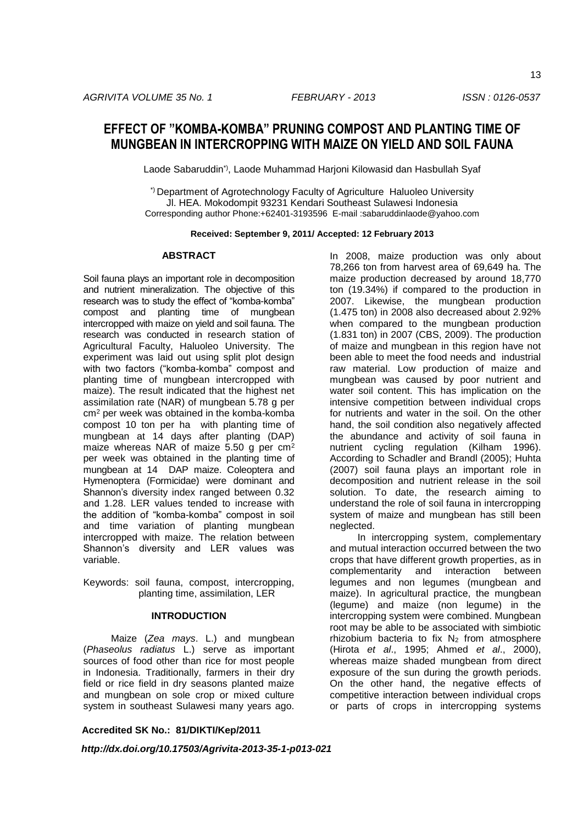# **EFFECT OF "KOMBA-KOMBA" PRUNING COMPOST AND PLANTING TIME OF MUNGBEAN IN INTERCROPPING WITH MAIZE ON YIELD AND SOIL FAUNA**

Laode Sabaruddin\*), Laode Muhammad Harjoni Kilowasid dan Hasbullah Syaf

\*) Department of Agrotechnology Faculty of Agriculture Haluoleo University Jl. HEA. Mokodompit 93231 Kendari Southeast Sulawesi Indonesia Corresponding author Phone:+62401-3193596 E-mail :sabaruddinlaode@yahoo.com

### **Received: September 9, 2011/ Accepted: 12 February 2013**

#### **ABSTRACT**

Soil fauna plays an important role in decomposition and nutrient mineralization. The objective of this research was to study the effect of "komba-komba" compost and planting time of mungbean intercropped with maize on yield and soil fauna. The research was conducted in research station of Agricultural Faculty, Haluoleo University. The experiment was laid out using split plot design with two factors ("komba-komba" compost and planting time of mungbean intercropped with maize). The result indicated that the highest net assimilation rate (NAR) of mungbean 5.78 g per cm<sup>2</sup> per week was obtained in the komba-komba compost 10 ton per ha with planting time of mungbean at 14 days after planting (DAP) maize whereas NAR of maize 5.50 g per cm<sup>2</sup> per week was obtained in the planting time of mungbean at 14 DAP maize. Coleoptera and Hymenoptera (Formicidae) were dominant and Shannon's diversity index ranged between 0.32 and 1.28. LER values tended to increase with the addition of "komba-komba" compost in soil and time variation of planting mungbean intercropped with maize. The relation between Shannon's diversity and LER values was variable.

Keywords: soil fauna, compost, intercropping, planting time, assimilation, LER

## **INTRODUCTION**

Maize (*Zea mays*. L.) and mungbean (*Phaseolus radiatus* L.) serve as important sources of food other than rice for most people in Indonesia. Traditionally, farmers in their dry field or rice field in dry seasons planted maize and mungbean on sole crop or mixed culture system in southeast Sulawesi many years ago.

**Accredited SK No.: 81/DIKTI/Kep/2011**

*http://dx.doi.org/10.17503/Agrivita-2013-35-1-p013-021*

In 2008, maize production was only about 78,266 ton from harvest area of 69,649 ha. The maize production decreased by around 18,770 ton (19.34%) if compared to the production in 2007. Likewise, the mungbean production (1.475 ton) in 2008 also decreased about 2.92% when compared to the mungbean production (1.831 ton) in 2007 (CBS, 2009). The production of maize and mungbean in this region have not been able to meet the food needs and industrial raw material. Low production of maize and mungbean was caused by poor nutrient and water soil content. This has implication on the intensive competition between individual crops for nutrients and water in the soil. On the other hand, the soil condition also negatively affected the abundance and activity of soil fauna in nutrient cycling regulation (Kilham 1996). According to Schadler and Brandl (2005); Huhta (2007) soil fauna plays an important role in decomposition and nutrient release in the soil solution. To date, the research aiming to understand the role of soil fauna in intercropping system of maize and mungbean has still been neglected.

In intercropping system, complementary and mutual interaction occurred between the two crops that have different growth properties, as in complementarity and interaction between legumes and non legumes (mungbean and maize). In agricultural practice, the mungbean (legume) and maize (non legume) in the intercropping system were combined. Mungbean root may be able to be associated with simbiotic rhizobium bacteria to fix  $N_2$  from atmosphere (Hirota *et al*., 1995; Ahmed *et al*., 2000), whereas maize shaded mungbean from direct exposure of the sun during the growth periods. On the other hand, the negative effects of competitive interaction between individual crops or parts of crops in intercropping systems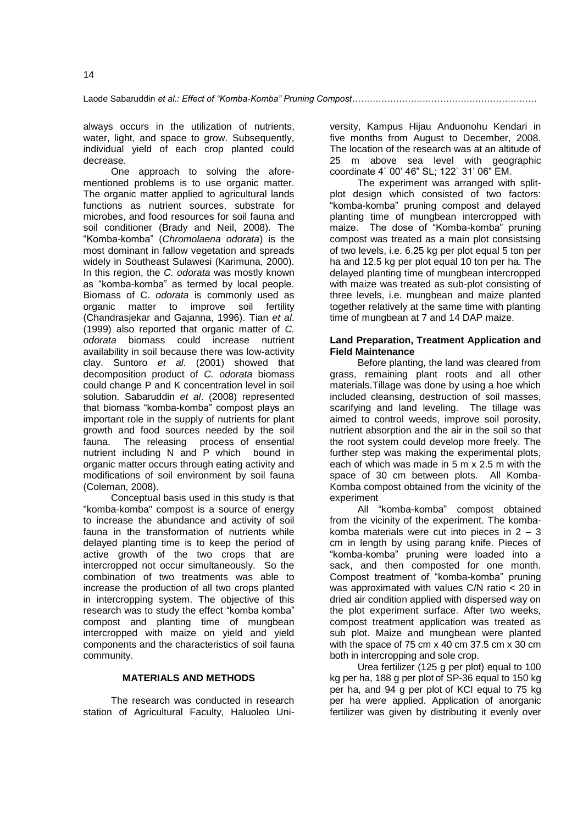Laode Sabaruddin *et al.: Effect of "Komba-Komba" Pruning Compost………………………………………………………*

always occurs in the utilization of nutrients, water, light, and space to grow. Subsequently, individual yield of each crop planted could decrease.

One approach to solving the aforementioned problems is to use organic matter. The organic matter applied to agricultural lands functions as nutrient sources, substrate for microbes, and food resources for soil fauna and soil conditioner (Brady and Neil, 2008). The "Komba-komba" (*Chromolaena odorata*) is the most dominant in fallow vegetation and spreads widely in Southeast Sulawesi (Karimuna, 2000). In this region, the *C. odorata* was mostly known as "komba-komba" as termed by local people. Biomass of C. *odorata* is commonly used as organic matter to improve soil fertility (Chandrasjekar and Gajanna, 1996). Tian *et al*. (1999) also reported that organic matter of *C. odorata* biomass could increase nutrient availability in soil because there was low-activity clay. Suntoro *et al*. (2001) showed that decomposition product of *C. odorata* biomass could change P and K concentration level in soil solution. Sabaruddin *et al*. (2008) represented that biomass "komba-komba" compost plays an important role in the supply of nutrients for plant growth and food sources needed by the soil fauna. The releasing process of ensential nutrient including N and P which bound in organic matter occurs through eating activity and modifications of soil environment by soil fauna (Coleman, 2008).

Conceptual basis used in this study is that "komba-komba" compost is a source of energy to increase the abundance and activity of soil fauna in the transformation of nutrients while delayed planting time is to keep the period of active growth of the two crops that are intercropped not occur simultaneously. So the combination of two treatments was able to increase the production of all two crops planted in intercropping system. The objective of this research was to study the effect "komba komba" compost and planting time of mungbean intercropped with maize on yield and yield components and the characteristics of soil fauna community.

## **MATERIALS AND METHODS**

The research was conducted in research station of Agricultural Faculty, Haluoleo University, Kampus Hijau Anduonohu Kendari in five months from August to December, 2008. The location of the research was at an altitude of 25 m above sea level with geographic coordinate 4˚ 00' 46" SL; 122˚ 31' 06" EM.

The experiment was arranged with splitplot design which consisted of two factors: "komba-komba" pruning compost and delayed planting time of mungbean intercropped with maize. The dose of "Komba-komba" pruning compost was treated as a main plot consistsing of two levels, i.e. 6.25 kg per plot equal 5 ton per ha and 12.5 kg per plot equal 10 ton per ha. The delayed planting time of mungbean intercropped with maize was treated as sub-plot consisting of three levels, i.e. mungbean and maize planted together relatively at the same time with planting time of mungbean at 7 and 14 DAP maize.

## **Land Preparation, Treatment Application and Field Maintenance**

Before planting, the land was cleared from grass, remaining plant roots and all other materials.Tillage was done by using a hoe which included cleansing, destruction of soil masses, scarifying and land leveling. The tillage was aimed to control weeds, improve soil porosity, nutrient absorption and the air in the soil so that the root system could develop more freely. The further step was making the experimental plots, each of which was made in 5 m x 2.5 m with the space of 30 cm between plots. All Komba-Komba compost obtained from the vicinity of the experiment

All "komba-komba" compost obtained from the vicinity of the experiment. The kombakomba materials were cut into pieces in  $2 - 3$ cm in length by using parang knife. Pieces of "komba-komba" pruning were loaded into a sack, and then composted for one month. Compost treatment of "komba-komba" pruning was approximated with values C/N ratio < 20 in dried air condition applied with dispersed way on the plot experiment surface. After two weeks, compost treatment application was treated as sub plot. Maize and mungbean were planted with the space of 75 cm x 40 cm 37.5 cm x 30 cm both in intercropping and sole crop.

Urea fertilizer (125 g per plot) equal to 100 kg per ha, 188 g per plot of SP-36 equal to 150 kg per ha, and 94 g per plot of KCI equal to 75 kg per ha were applied. Application of anorganic fertilizer was given by distributing it evenly over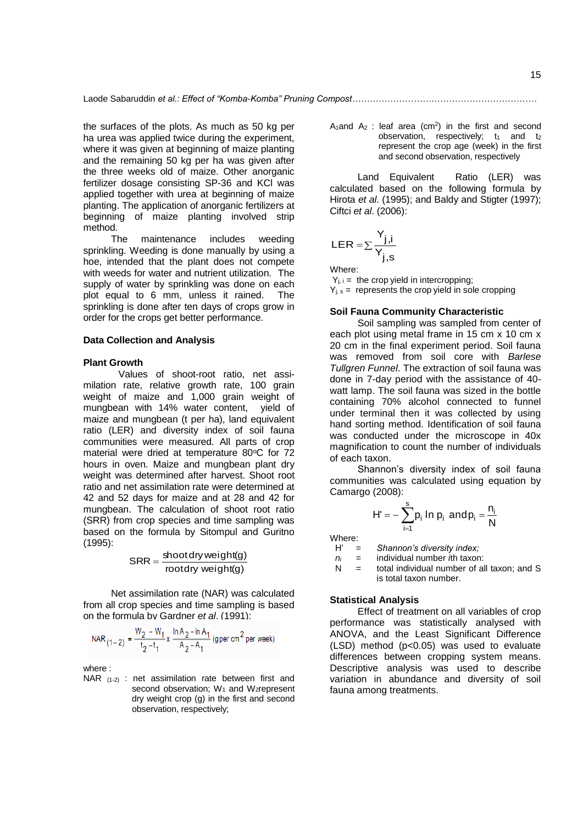the surfaces of the plots. As much as 50 kg per ha urea was applied twice during the experiment, where it was given at beginning of maize planting and the remaining 50 kg per ha was given after the three weeks old of maize. Other anorganic fertilizer dosage consisting SP-36 and KCl was applied together with urea at beginning of maize planting. The application of anorganic fertilizers at beginning of maize planting involved strip method.

The maintenance includes weeding sprinkling. Weeding is done manually by using a hoe, intended that the plant does not compete with weeds for water and nutrient utilization. The supply of water by sprinkling was done on each plot equal to 6 mm, unless it rained. The sprinkling is done after ten days of crops grow in order for the crops get better performance.

## **Data Collection and Analysis**

### **Plant Growth**

Values of shoot-root ratio, net assimilation rate, relative growth rate, 100 grain weight of maize and 1,000 grain weight of mungbean with 14% water content, yield of maize and mungbean (t per ha), land equivalent ratio (LER) and diversity index of soil fauna communities were measured. All parts of crop material were dried at temperature 80°C for 72 hours in oven. Maize and mungbean plant dry weight was determined after harvest. Shoot root ratio and net assimilation rate were determined at 42 and 52 days for maize and at 28 and 42 for mungbean. The calculation of shoot root ratio (SRR) from crop species and time sampling was based on the formula by Sitompul and Guritno (1995):

rootdry weight(g)  $SRR = \frac{\text{shootdry weight}(g)}{}$ 

Net assimilation rate (NAR) was calculated from all crop species and time sampling is based on the formula by Gardner *et al*. (1991):

NAR 
$$
(1-2)
$$
 =  $\frac{W_2 - W_1}{t_2 - t_1} \times \frac{\ln A_2 - \ln A_1}{A_2 - A_1}$  (gper cm<sup>2</sup> per week)

 $\sim$ 

where :

NAR (1-2) : net assimilation rate between first and second observation;  $W_1$  and  $W_2$ represent dry weight crop (g) in the first and second observation, respectively;

A<sub>1</sub> and A<sub>2</sub>: leaf area (cm<sup>2</sup>) in the first and second observation, respectively;  $t_1$  and  $t_2$ represent the crop age (week) in the first and second observation, respectively

Land Equivalent Ratio (LER) was calculated based on the following formula by Hirota *et al*. (1995); and Baldy and Stigter (1997); Ciftci *et al*. (2006):

$$
\text{LER} = \sum \frac{Y_{j,i}}{Y_{j,s}}
$$

Where:

 $Y_{i,i}$  = the crop yield in intercropping;

 $Y_{i,s}$  = represents the crop yield in sole cropping

## **Soil Fauna Community Characteristic**

Soil sampling was sampled from center of each plot using metal frame in 15 cm x 10 cm x 20 cm in the final experiment period. Soil fauna was removed from soil core with *Barlese Tullgren Funnel*. The extraction of soil fauna was done in 7-day period with the assistance of 40 watt lamp. The soil fauna was sized in the bottle containing 70% alcohol connected to funnel under terminal then it was collected by using hand sorting method. Identification of soil fauna was conducted under the microscope in 40x magnification to count the number of individuals of each taxon.

Shannon's diversity index of soil fauna communities was calculated using equation by Camargo (2008):

$$
H' = -\sum_{i=1}^{s} p_i \ln p_i \text{ and } p_i = \frac{n_i}{N}
$$

Where:<br> $H' =$ 

Shannon's diversity index;

*n<sup>i</sup>* = individual number *i*th taxon:

 $N =$  total individual number of all taxon; and S is total taxon number.

## **Statistical Analysis**

Effect of treatment on all variables of crop performance was statistically analysed with ANOVA, and the Least Significant Difference (LSD) method (p<0.05) was used to evaluate differences between cropping system means. Descriptive analysis was used to describe variation in abundance and diversity of soil fauna among treatments.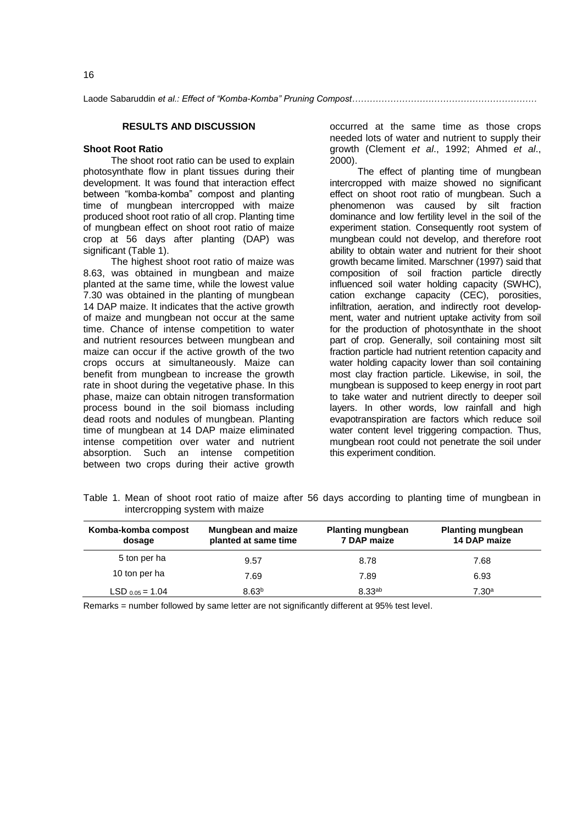Laode Sabaruddin *et al.: Effect of "Komba-Komba" Pruning Compost………………………………………………………*

## **RESULTS AND DISCUSSION**

#### **Shoot Root Ratio**

The shoot root ratio can be used to explain photosynthate flow in plant tissues during their development. It was found that interaction effect between "komba-komba" compost and planting time of mungbean intercropped with maize produced shoot root ratio of all crop. Planting time of mungbean effect on shoot root ratio of maize crop at 56 days after planting (DAP) was significant (Table 1).

The highest shoot root ratio of maize was 8.63, was obtained in mungbean and maize planted at the same time, while the lowest value 7.30 was obtained in the planting of mungbean 14 DAP maize. It indicates that the active growth of maize and mungbean not occur at the same time. Chance of intense competition to water and nutrient resources between mungbean and maize can occur if the active growth of the two crops occurs at simultaneously. Maize can benefit from mungbean to increase the growth rate in shoot during the vegetative phase. In this phase, maize can obtain nitrogen transformation process bound in the soil biomass including dead roots and nodules of mungbean. Planting time of mungbean at 14 DAP maize eliminated intense competition over water and nutrient absorption. Such an intense competition between two crops during their active growth

occurred at the same time as those crops needed lots of water and nutrient to supply their growth (Clement *et al*., 1992; Ahmed *et al*., 2000).

The effect of planting time of mungbean intercropped with maize showed no significant effect on shoot root ratio of mungbean. Such a phenomenon was caused by silt fraction dominance and low fertility level in the soil of the experiment station. Consequently root system of mungbean could not develop, and therefore root ability to obtain water and nutrient for their shoot growth became limited. Marschner (1997) said that composition of soil fraction particle directly influenced soil water holding capacity (SWHC), cation exchange capacity (CEC), porosities, infiltration, aeration, and indirectly root development, water and nutrient uptake activity from soil for the production of photosynthate in the shoot part of crop. Generally, soil containing most silt fraction particle had nutrient retention capacity and water holding capacity lower than soil containing most clay fraction particle. Likewise, in soil, the mungbean is supposed to keep energy in root part to take water and nutrient directly to deeper soil layers. In other words, low rainfall and high evapotranspiration are factors which reduce soil water content level triggering compaction. Thus, mungbean root could not penetrate the soil under this experiment condition.

Table 1. Mean of shoot root ratio of maize after 56 days according to planting time of mungbean in intercropping system with maize

| Komba-komba compost<br>dosage | <b>Mungbean and maize</b><br>planted at same time | <b>Planting mungbean</b><br>7 DAP maize | <b>Planting mungbean</b><br>14 DAP maize |  |
|-------------------------------|---------------------------------------------------|-----------------------------------------|------------------------------------------|--|
| 5 ton per ha                  | 9.57                                              | 8.78                                    | 7.68                                     |  |
| 10 ton per ha                 | 7.69                                              | 7.89                                    | 6.93                                     |  |
| LSD $0.05 = 1.04$             | 8.63 <sup>b</sup>                                 | 8.33 <sup>ab</sup>                      | $7.30^{\rm a}$                           |  |

Remarks = number followed by same letter are not significantly different at 95% test level.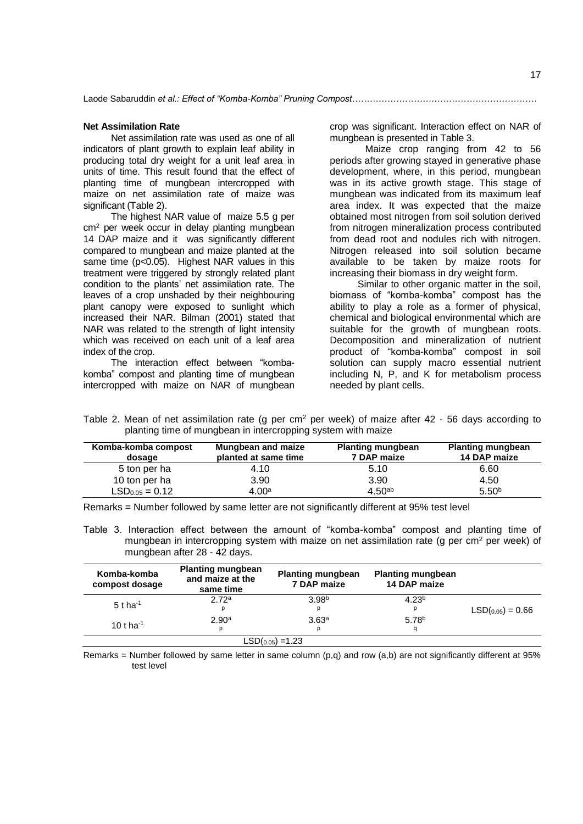### **Net Assimilation Rate**

Net assimilation rate was used as one of all indicators of plant growth to explain leaf ability in producing total dry weight for a unit leaf area in units of time. This result found that the effect of planting time of mungbean intercropped with maize on net assimilation rate of maize was significant (Table 2).

The highest NAR value of maize 5.5 g per cm<sup>2</sup> per week occur in delay planting mungbean 14 DAP maize and it was significantly different compared to mungbean and maize planted at the same time (p<0.05). Highest NAR values in this treatment were triggered by strongly related plant condition to the plants' net assimilation rate. The leaves of a crop unshaded by their neighbouring plant canopy were exposed to sunlight which increased their NAR. Bilman (2001) stated that NAR was related to the strength of light intensity which was received on each unit of a leaf area index of the crop.

The interaction effect between "kombakomba" compost and planting time of mungbean intercropped with maize on NAR of mungbean

crop was significant. Interaction effect on NAR of mungbean is presented in Table 3.

Maize crop ranging from 42 to 56 periods after growing stayed in generative phase development, where, in this period, mungbean was in its active growth stage. This stage of mungbean was indicated from its maximum leaf area index. It was expected that the maize obtained most nitrogen from soil solution derived from nitrogen mineralization process contributed from dead root and nodules rich with nitrogen. Nitrogen released into soil solution became available to be taken by maize roots for increasing their biomass in dry weight form.

Similar to other organic matter in the soil, biomass of "komba-komba" compost has the ability to play a role as a former of physical, chemical and biological environmental which are suitable for the growth of mungbean roots. Decomposition and mineralization of nutrient product of "komba-komba" compost in soil solution can supply macro essential nutrient including N, P, and K for metabolism process needed by plant cells.

Table 2. Mean of net assimilation rate (g per cm<sup>2</sup> per week) of maize after  $42 - 56$  days according to planting time of mungbean in intercropping system with maize

| Komba-komba compost<br>dosage | Mungbean and maize<br>planted at same time | <b>Planting mungbean</b><br>7 DAP maize | <b>Planting mungbean</b><br>14 DAP maize |
|-------------------------------|--------------------------------------------|-----------------------------------------|------------------------------------------|
| 5 ton per ha                  | 4.10                                       | 5.10                                    | 6.60                                     |
| 10 ton per ha                 | 3.90                                       | 3.90                                    | 4.50                                     |
| $LSD0.05 = 0.12$              | 4.00 <sup>a</sup>                          | 4.50 <sup>ab</sup>                      | 5.50 <sup>b</sup>                        |

Remarks = Number followed by same letter are not significantly different at 95% test level

Table 3. Interaction effect between the amount of "komba-komba" compost and planting time of mungbean in intercropping system with maize on net assimilation rate (g per cm<sup>2</sup> per week) of mungbean after 28 - 42 days.

| Komba-komba<br>compost dosage | <b>Planting mungbean</b><br>and maize at the<br>same time | <b>Planting mungbean</b><br>7 DAP maize | <b>Planting mungbean</b><br>14 DAP maize |                    |
|-------------------------------|-----------------------------------------------------------|-----------------------------------------|------------------------------------------|--------------------|
| 5 t ha <sup>-1</sup>          | 2.72 <sup>a</sup><br>p                                    | 3.98 <sup>b</sup><br>р                  | 4.23 <sup>b</sup><br>р                   | $LSD(0.05) = 0.66$ |
| 10 t ha $^{-1}$               | 2.90 <sup>a</sup><br>р                                    | 3.63 <sup>a</sup><br>р                  | 5.78 <sup>b</sup><br>a                   |                    |
|                               |                                                           |                                         |                                          |                    |

Remarks = Number followed by same letter in same column  $(p,q)$  and row  $(a,b)$  are not significantly different at 95% test level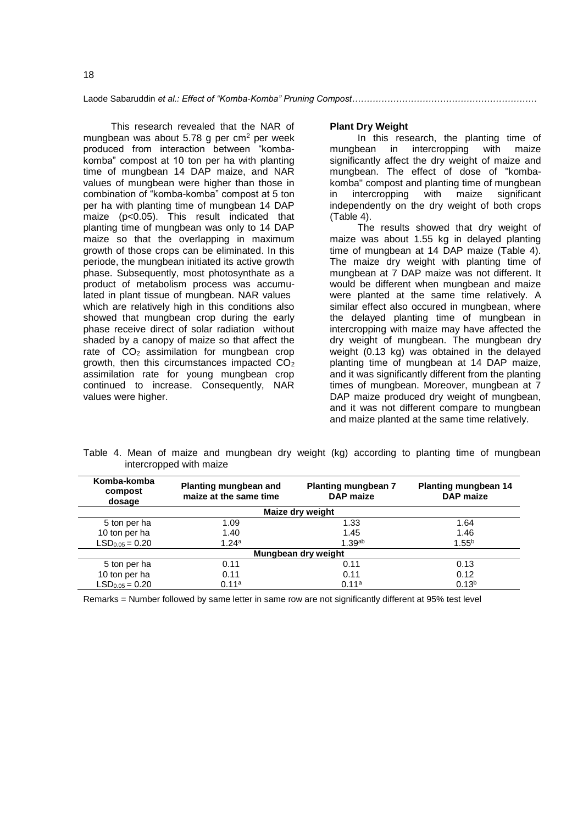This research revealed that the NAR of mungbean was about 5.78 g per cm<sup>2</sup> per week produced from interaction between "kombakomba" compost at 10 ton per ha with planting time of mungbean 14 DAP maize, and NAR values of mungbean were higher than those in combination of "komba-komba" compost at 5 ton per ha with planting time of mungbean 14 DAP maize (p<0.05). This result indicated that planting time of mungbean was only to 14 DAP maize so that the overlapping in maximum growth of those crops can be eliminated. In this periode, the mungbean initiated its active growth phase. Subsequently, most photosynthate as a product of metabolism process was accumulated in plant tissue of mungbean. NAR values which are relatively high in this conditions also showed that mungbean crop during the early phase receive direct of solar radiation without shaded by a canopy of maize so that affect the rate of  $CO<sub>2</sub>$  assimilation for mungbean crop growth, then this circumstances impacted  $CO<sub>2</sub>$ assimilation rate for young mungbean crop continued to increase. Consequently, NAR values were higher.

#### **Plant Dry Weight**

In this research, the planting time of mungbean in intercropping with maize intercropping with significantly affect the dry weight of maize and mungbean. The effect of dose of "kombakomba" compost and planting time of mungbean in intercropping with maize significant independently on the dry weight of both crops (Table 4).

The results showed that dry weight of maize was about 1.55 kg in delayed planting time of mungbean at 14 DAP maize (Table 4). The maize dry weight with planting time of mungbean at 7 DAP maize was not different. It would be different when mungbean and maize were planted at the same time relatively. A similar effect also occured in mungbean, where the delayed planting time of mungbean in intercropping with maize may have affected the dry weight of mungbean. The mungbean dry weight (0.13 kg) was obtained in the delayed planting time of mungbean at 14 DAP maize, and it was significantly different from the planting times of mungbean. Moreover, mungbean at 7 DAP maize produced dry weight of mungbean, and it was not different compare to mungbean and maize planted at the same time relatively.

Table 4. Mean of maize and mungbean dry weight (kg) according to planting time of mungbean intercropped with maize

| Komba-komba<br>compost<br>dosage | Planting mungbean and<br>maize at the same time | <b>Planting mungbean 7</b><br><b>DAP</b> maize | <b>Planting mungbean 14</b><br><b>DAP</b> maize |  |  |
|----------------------------------|-------------------------------------------------|------------------------------------------------|-------------------------------------------------|--|--|
|                                  |                                                 | Maize dry weight                               |                                                 |  |  |
| 5 ton per ha                     | 1.09                                            | 1.33                                           | 1.64                                            |  |  |
| 10 ton per ha                    | 1.40                                            | 1.45                                           | 1.46                                            |  |  |
| $LSD0.05 = 0.20$                 | 1.24a                                           | 1.39 <sup>ab</sup>                             | $1.55^{b}$                                      |  |  |
| Mungbean dry weight              |                                                 |                                                |                                                 |  |  |
| 5 ton per ha                     | 0.11                                            | 0.11                                           | 0.13                                            |  |  |
| 10 ton per ha                    | 0.11                                            | 0.11                                           | 0.12                                            |  |  |
| $LSD0.05 = 0.20$                 | 0.11 <sup>a</sup>                               | 0.11 <sup>a</sup>                              | $0.13^{b}$                                      |  |  |

Remarks = Number followed by same letter in same row are not significantly different at 95% test level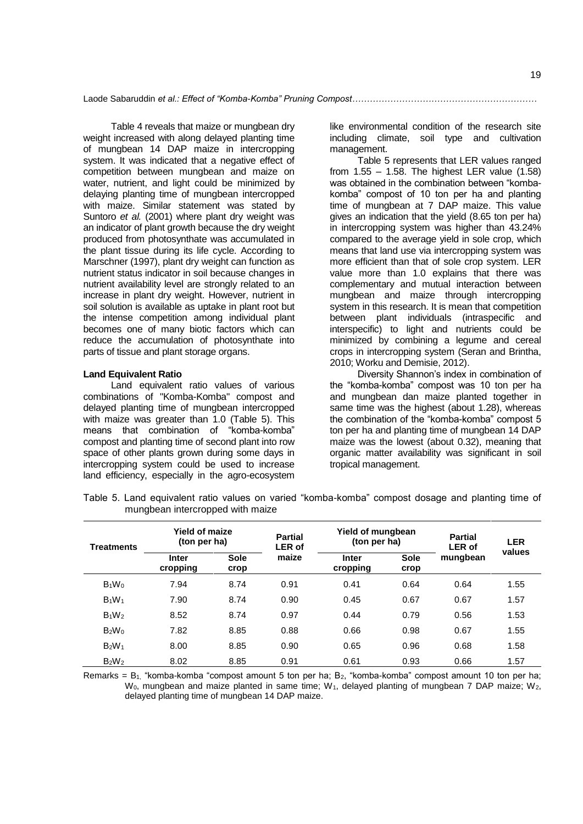Table 4 reveals that maize or mungbean dry weight increased with along delayed planting time of mungbean 14 DAP maize in intercropping system. It was indicated that a negative effect of competition between mungbean and maize on water, nutrient, and light could be minimized by delaying planting time of mungbean intercropped with maize. Similar statement was stated by Suntoro *et al.* (2001) where plant dry weight was an indicator of plant growth because the dry weight produced from photosynthate was accumulated in the plant tissue during its life cycle. According to Marschner (1997), plant dry weight can function as nutrient status indicator in soil because changes in nutrient availability level are strongly related to an increase in plant dry weight. However, nutrient in soil solution is available as uptake in plant root but the intense competition among individual plant becomes one of many biotic factors which can reduce the accumulation of photosynthate into parts of tissue and plant storage organs.

#### **Land Equivalent Ratio**

Land equivalent ratio values of various combinations of "Komba-Komba" compost and delayed planting time of mungbean intercropped with maize was greater than 1.0 (Table 5). This means that combination of "komba-komba" compost and planting time of second plant into row space of other plants grown during some days in intercropping system could be used to increase land efficiency, especially in the agro-ecosystem

like environmental condition of the research site including climate, soil type and cultivation management.

Table 5 represents that LER values ranged from  $1.55 - 1.58$ . The highest LER value  $(1.58)$ was obtained in the combination between "kombakomba" compost of 10 ton per ha and planting time of mungbean at 7 DAP maize. This value gives an indication that the yield (8.65 ton per ha) in intercropping system was higher than 43.24% compared to the average yield in sole crop, which means that land use via intercropping system was more efficient than that of sole crop system. LER value more than 1.0 explains that there was complementary and mutual interaction between mungbean and maize through intercropping system in this research. It is mean that competition between plant individuals (intraspecific and interspecific) to light and nutrients could be minimized by combining a legume and cereal crops in intercropping system (Seran and Brintha, 2010; Worku and Demisie, 2012).

Diversity Shannon's index in combination of the "komba-komba" compost was 10 ton per ha and mungbean dan maize planted together in same time was the highest (about 1.28), whereas the combination of the "komba-komba" compost 5 ton per ha and planting time of mungbean 14 DAP maize was the lowest (about 0.32), meaning that organic matter availability was significant in soil tropical management.

| <b>Treatments</b>             | <b>Yield of maize</b><br>(ton per ha) |                     | <b>Partial</b><br><b>LER of</b> | Yield of mungbean<br>(ton per ha) |                     | <b>Partial</b><br><b>LER of</b> | <b>LER</b> |
|-------------------------------|---------------------------------------|---------------------|---------------------------------|-----------------------------------|---------------------|---------------------------------|------------|
|                               | <b>Inter</b><br>cropping              | <b>Sole</b><br>crop | maize                           | <b>Inter</b><br>cropping          | <b>Sole</b><br>crop | mungbean                        | values     |
| $B_1W_0$                      | 7.94                                  | 8.74                | 0.91                            | 0.41                              | 0.64                | 0.64                            | 1.55       |
| $B_1W_1$                      | 7.90                                  | 8.74                | 0.90                            | 0.45                              | 0.67                | 0.67                            | 1.57       |
| $B_1W_2$                      | 8.52                                  | 8.74                | 0.97                            | 0.44                              | 0.79                | 0.56                            | 1.53       |
| $B_2W_0$                      | 7.82                                  | 8.85                | 0.88                            | 0.66                              | 0.98                | 0.67                            | 1.55       |
| B <sub>2</sub> W <sub>1</sub> | 8.00                                  | 8.85                | 0.90                            | 0.65                              | 0.96                | 0.68                            | 1.58       |
| $B_2W_2$                      | 8.02                                  | 8.85                | 0.91                            | 0.61                              | 0.93                | 0.66                            | 1.57       |

Table 5. Land equivalent ratio values on varied "komba-komba" compost dosage and planting time of mungbean intercropped with maize

Remarks =  $B_1$  "komba-komba "compost amount 5 ton per ha;  $B_2$ , "komba-komba" compost amount 10 ton per ha;  $W_0$ , mungbean and maize planted in same time;  $W_1$ , delayed planting of mungbean 7 DAP maize;  $W_2$ , delayed planting time of mungbean 14 DAP maize.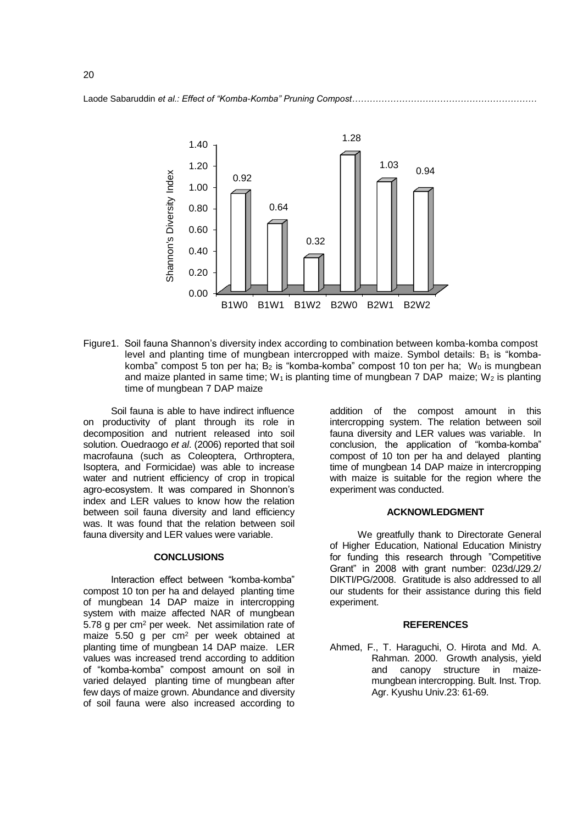



Figure1. Soil fauna Shannon's diversity index according to combination between komba-komba compost level and planting time of mungbean intercropped with maize. Symbol details:  $B_1$  is "kombakomba" compost 5 ton per ha;  $B_2$  is "komba-komba" compost 10 ton per ha; W<sub>0</sub> is mungbean and maize planted in same time; W<sub>1</sub> is planting time of mungbean 7 DAP maize; W<sub>2</sub> is planting time of mungbean 7 DAP maize

Soil fauna is able to have indirect influence on productivity of plant through its role in decomposition and nutrient released into soil solution. Ouedraogo *et al*. (2006) reported that soil macrofauna (such as Coleoptera, Orthroptera, Isoptera, and Formicidae) was able to increase water and nutrient efficiency of crop in tropical agro-ecosystem. It was compared in Shonnon's index and LER values to know how the relation between soil fauna diversity and land efficiency was. It was found that the relation between soil fauna diversity and LER values were variable.

#### **CONCLUSIONS**

Interaction effect between "komba-komba" compost 10 ton per ha and delayed planting time of mungbean 14 DAP maize in intercropping system with maize affected NAR of mungbean 5.78 g per cm<sup>2</sup> per week. Net assimilation rate of maize 5.50 g per cm<sup>2</sup> per week obtained at planting time of mungbean 14 DAP maize. LER values was increased trend according to addition of "komba-komba" compost amount on soil in varied delayed planting time of mungbean after few days of maize grown. Abundance and diversity of soil fauna were also increased according to

addition of the compost amount in this intercropping system. The relation between soil fauna diversity and LER values was variable. In conclusion, the application of "komba-komba" compost of 10 ton per ha and delayed planting time of mungbean 14 DAP maize in intercropping with maize is suitable for the region where the experiment was conducted.

## **ACKNOWLEDGMENT**

We greatfully thank to Directorate General of Higher Education, National Education Ministry for funding this research through "Competitive Grant" in 2008 with grant number: 023d/J29.2/ DIKTI/PG/2008. Gratitude is also addressed to all our students for their assistance during this field experiment.

## **REFERENCES**

Ahmed, F., T. Haraguchi, O. Hirota and Md. A. Rahman. 2000. Growth analysis, yield and canopy structure in maizemungbean intercropping. Bult. Inst. Trop. Agr. Kyushu Univ.23: 61-69.